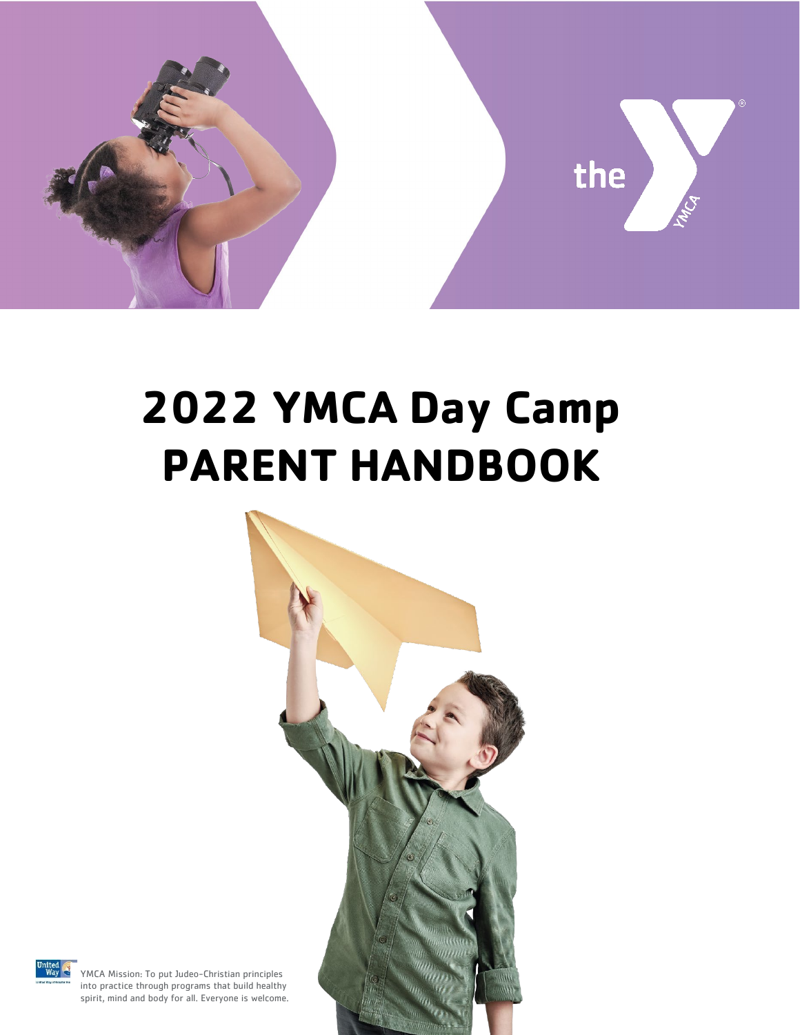

# **2022 YMCA Day Camp PARENT HANDBOOK**





YMCA Mission: To put Judeo-Christian principles into practice through programs that build healthy spirit, mind and body for all. Everyone is welcome.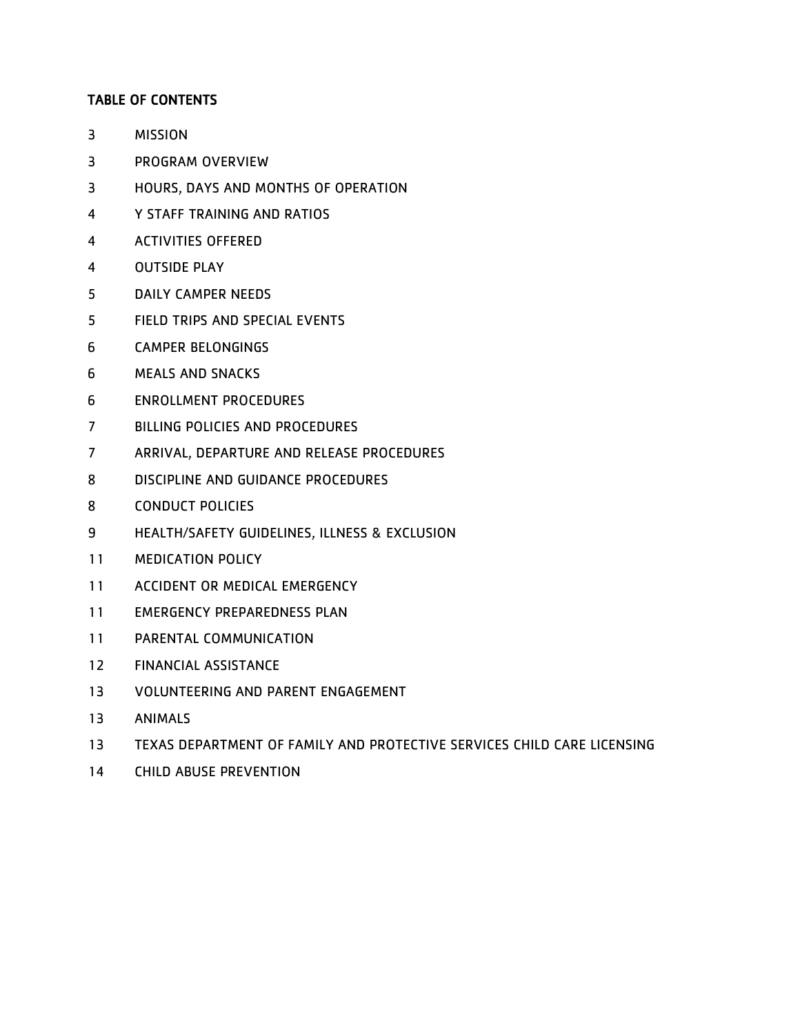# TABLE OF CONTENTS

- MISSION
- PROGRAM OVERVIEW
- 3 HOURS, DAYS AND MONTHS OF OPERATION
- Y STAFF TRAINING AND RATIOS
- 4 ACTIVITIES OFFERED
- OUTSIDE PLAY
- DAILY CAMPER NEEDS
- FIELD TRIPS AND SPECIAL EVENTS
- CAMPER BELONGINGS
- MEALS AND SNACKS
- ENROLLMENT PROCEDURES
- BILLING POLICIES AND PROCEDURES
- ARRIVAL, DEPARTURE AND RELEASE PROCEDURES
- DISCIPLINE AND GUIDANCE PROCEDURES
- CONDUCT POLICIES
- HEALTH/SAFETY GUIDELINES, ILLNESS & EXCLUSION
- MEDICATION POLICY
- ACCIDENT OR MEDICAL EMERGENCY
- EMERGENCY PREPAREDNESS PLAN
- PARENTAL COMMUNICATION
- FINANCIAL ASSISTANCE
- VOLUNTEERING AND PARENT ENGAGEMENT
- ANIMALS
- TEXAS DEPARTMENT OF FAMILY AND PROTECTIVE SERVICES CHILD CARE LICENSING
- CHILD ABUSE PREVENTION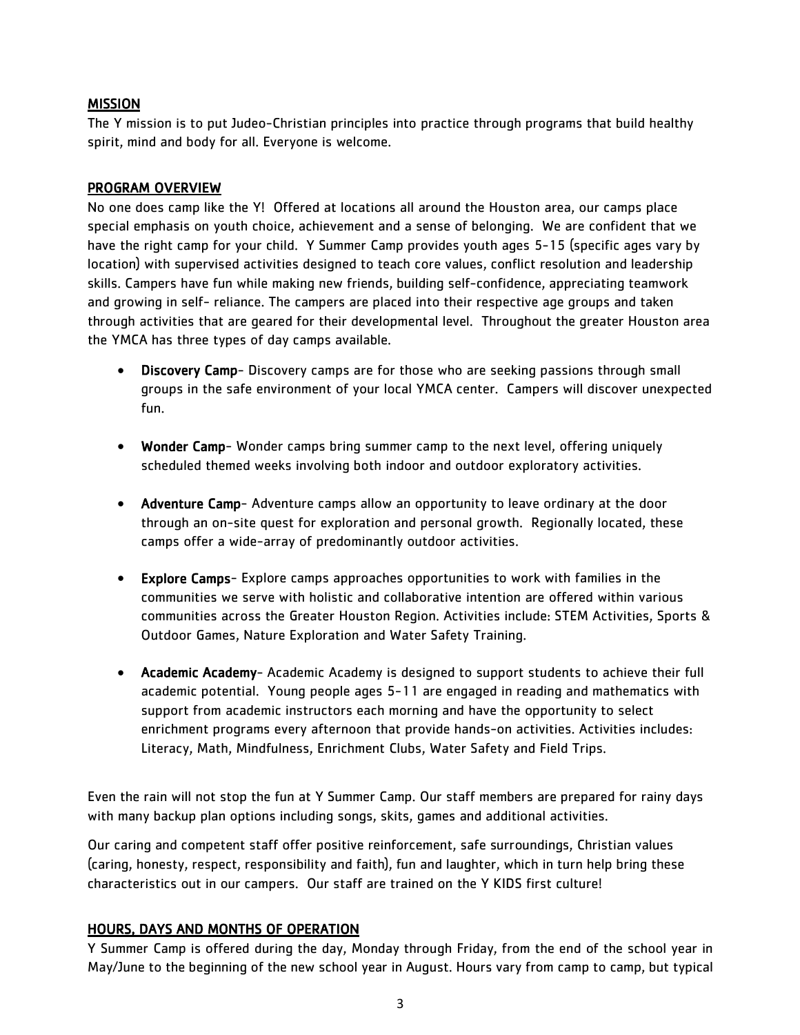# MISSION

The Y mission is to put Judeo-Christian principles into practice through programs that build healthy spirit, mind and body for all. Everyone is welcome.

#### PROGRAM OVERVIEW

No one does camp like the Y! Offered at locations all around the Houston area, our camps place special emphasis on youth choice, achievement and a sense of belonging. We are confident that we have the right camp for your child. Y Summer Camp provides youth ages 5-15 (specific ages vary by location) with supervised activities designed to teach core values, conflict resolution and leadership skills. Campers have fun while making new friends, building self-confidence, appreciating teamwork and growing in self- reliance. The campers are placed into their respective age groups and taken through activities that are geared for their developmental level. Throughout the greater Houston area the YMCA has three types of day camps available.

- Discovery Camp- Discovery camps are for those who are seeking passions through small groups in the safe environment of your local YMCA center. Campers will discover unexpected fun.
- Wonder Camp- Wonder camps bring summer camp to the next level, offering uniquely scheduled themed weeks involving both indoor and outdoor exploratory activities.
- Adventure Camp- Adventure camps allow an opportunity to leave ordinary at the door through an on-site quest for exploration and personal growth. Regionally located, these camps offer a wide-array of predominantly outdoor activities.
- Explore Camps- Explore camps approaches opportunities to work with families in the communities we serve with holistic and collaborative intention are offered within various communities across the Greater Houston Region. Activities include: STEM Activities, Sports & Outdoor Games, Nature Exploration and Water Safety Training.
- Academic Academy- Academic Academy is designed to support students to achieve their full academic potential. Young people ages 5-11 are engaged in reading and mathematics with support from academic instructors each morning and have the opportunity to select enrichment programs every afternoon that provide hands-on activities. Activities includes: Literacy, Math, Mindfulness, Enrichment Clubs, Water Safety and Field Trips.

Even the rain will not stop the fun at Y Summer Camp. Our staff members are prepared for rainy days with many backup plan options including songs, skits, games and additional activities.

Our caring and competent staff offer positive reinforcement, safe surroundings, Christian values (caring, honesty, respect, responsibility and faith), fun and laughter, which in turn help bring these characteristics out in our campers. Our staff are trained on the Y KIDS first culture!

## HOURS, DAYS AND MONTHS OF OPERATION

Y Summer Camp is offered during the day, Monday through Friday, from the end of the school year in May/June to the beginning of the new school year in August. Hours vary from camp to camp, but typical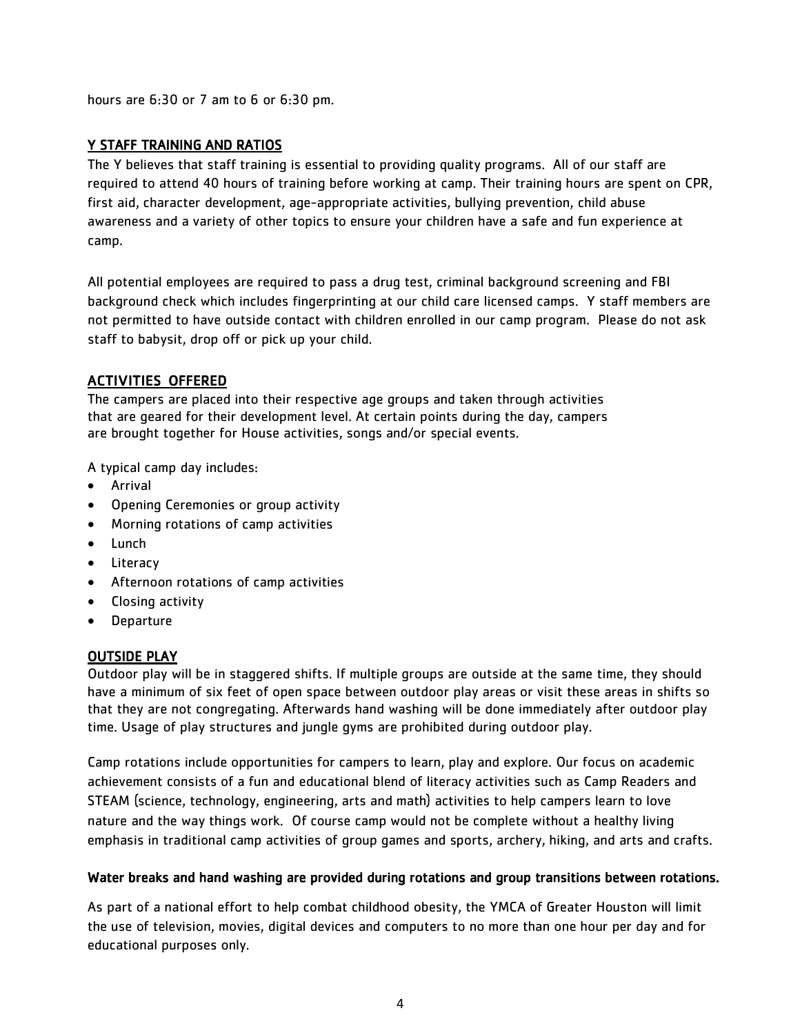hours are 6:30 or 7 am to 6 or 6:30 pm.

## Y STAFF TRAINING AND RATIOS

The Y believes that staff training is essential to providing quality programs. All of our staff are required to attend 40 hours of training before working at camp. Their training hours are spent on CPR, first aid, character development, age-appropriate activities, bullying prevention, child abuse awareness and a variety of other topics to ensure your children have a safe and fun experience at camp.

All potential employees are required to pass a drug test, criminal background screening and FBI background check which includes fingerprinting at our child care licensed camps. Y staff members are not permitted to have outside contact with children enrolled in our camp program. Please do not ask staff to babysit, drop off or pick up your child.

# ACTIVITIES OFFERED

The campers are placed into their respective age groups and taken through activities that are geared for their development level. At certain points during the day, campers are brought together for House activities, songs and/or special events.

A typical camp day includes:

- Arrival
- Opening Ceremonies or group activity
- Morning rotations of camp activities
- Lunch
- Literacy
- Afternoon rotations of camp activities
- Closing activity
- Departure

## OUTSIDE PLAY

Outdoor play will be in staggered shifts. If multiple groups are outside at the same time, they should have a minimum of six feet of open space between outdoor play areas or visit these areas in shifts so that they are not congregating. Afterwards hand washing will be done immediately after outdoor play time. Usage of play structures and jungle gyms are prohibited during outdoor play.

Camp rotations include opportunities for campers to learn, play and explore. Our focus on academic achievement consists of a fun and educational blend of literacy activities such as Camp Readers and STEAM (science, technology, engineering, arts and math) activities to help campers learn to love nature and the way things work. Of course camp would not be complete without a healthy living emphasis in traditional camp activities of group games and sports, archery, hiking, and arts and crafts.

#### Water breaks and hand washing are provided during rotations and group transitions between rotations.

As part of a national effort to help combat childhood obesity, the YMCA of Greater Houston will limit the use of television, movies, digital devices and computers to no more than one hour per day and for educational purposes only.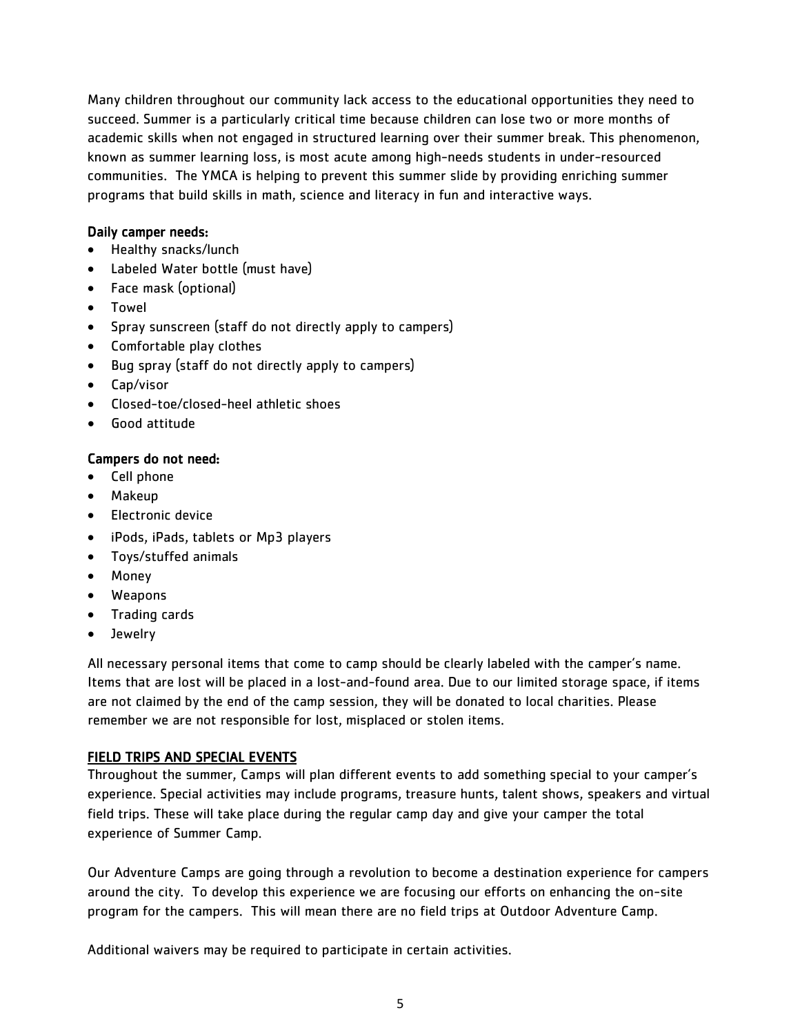Many children throughout our community lack access to the educational opportunities they need to succeed. Summer is a particularly critical time because children can lose two or more months of academic skills when not engaged in structured learning over their summer break. This phenomenon, known as summer learning loss, is most acute among high-needs students in under-resourced communities. The YMCA is helping to prevent this summer slide by providing enriching summer programs that build skills in math, science and literacy in fun and interactive ways.

#### Daily camper needs:

- Healthy snacks/lunch
- Labeled Water bottle (must have)
- Face mask (optional)
- Towel
- Spray sunscreen (staff do not directly apply to campers)
- Comfortable play clothes
- Bug spray (staff do not directly apply to campers)
- Cap/visor
- Closed-toe/closed-heel athletic shoes
- Good attitude

#### Campers do not need:

- Cell phone
- Makeup
- Electronic device
- iPods, iPads, tablets or Mp3 players
- Toys/stuffed animals
- Money
- Weapons
- Trading cards
- Jewelry

All necessary personal items that come to camp should be clearly labeled with the camper's name. Items that are lost will be placed in a lost-and-found area. Due to our limited storage space, if items are not claimed by the end of the camp session, they will be donated to local charities. Please remember we are not responsible for lost, misplaced or stolen items.

## FIELD TRIPS AND SPECIAL EVENTS

Throughout the summer, Camps will plan different events to add something special to your camper's experience. Special activities may include programs, treasure hunts, talent shows, speakers and virtual field trips. These will take place during the regular camp day and give your camper the total experience of Summer Camp.

Our Adventure Camps are going through a revolution to become a destination experience for campers around the city. To develop this experience we are focusing our efforts on enhancing the on-site program for the campers. This will mean there are no field trips at Outdoor Adventure Camp.

Additional waivers may be required to participate in certain activities.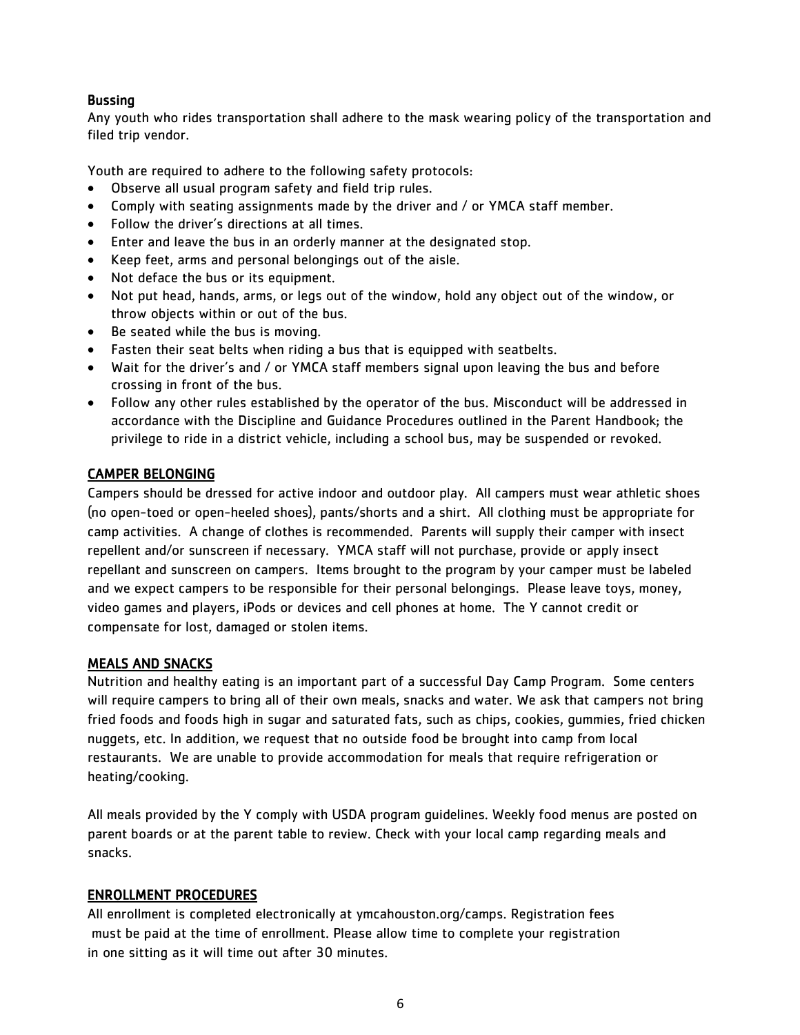## Bussing

Any youth who rides transportation shall adhere to the mask wearing policy of the transportation and filed trip vendor.

Youth are required to adhere to the following safety protocols:

- Observe all usual program safety and field trip rules.
- Comply with seating assignments made by the driver and / or YMCA staff member.
- Follow the driver's directions at all times.
- Enter and leave the bus in an orderly manner at the designated stop.
- Keep feet, arms and personal belongings out of the aisle.
- Not deface the bus or its equipment.
- Not put head, hands, arms, or legs out of the window, hold any object out of the window, or throw objects within or out of the bus.
- Be seated while the bus is moving.
- Fasten their seat belts when riding a bus that is equipped with seatbelts.
- Wait for the driver's and / or YMCA staff members signal upon leaving the bus and before crossing in front of the bus.
- Follow any other rules established by the operator of the bus. Misconduct will be addressed in accordance with the Discipline and Guidance Procedures outlined in the Parent Handbook; the privilege to ride in a district vehicle, including a school bus, may be suspended or revoked.

#### CAMPER BELONGING

Campers should be dressed for active indoor and outdoor play. All campers must wear athletic shoes (no open-toed or open-heeled shoes), pants/shorts and a shirt. All clothing must be appropriate for camp activities. A change of clothes is recommended. Parents will supply their camper with insect repellent and/or sunscreen if necessary. YMCA staff will not purchase, provide or apply insect repellant and sunscreen on campers. Items brought to the program by your camper must be labeled and we expect campers to be responsible for their personal belongings. Please leave toys, money, video games and players, iPods or devices and cell phones at home. The Y cannot credit or compensate for lost, damaged or stolen items.

#### MEALS AND SNACKS

Nutrition and healthy eating is an important part of a successful Day Camp Program. Some centers will require campers to bring all of their own meals, snacks and water. We ask that campers not bring fried foods and foods high in sugar and saturated fats, such as chips, cookies, gummies, fried chicken nuggets, etc. In addition, we request that no outside food be brought into camp from local restaurants. We are unable to provide accommodation for meals that require refrigeration or heating/cooking.

All meals provided by the Y comply with USDA program guidelines. Weekly food menus are posted on parent boards or at the parent table to review. Check with your local camp regarding meals and snacks.

#### ENROLLMENT PROCEDURES

All enrollment is completed electronically at ymcahouston.org/camps. Registration fees must be paid at the time of enrollment. Please allow time to complete your registration in one sitting as it will time out after 30 minutes.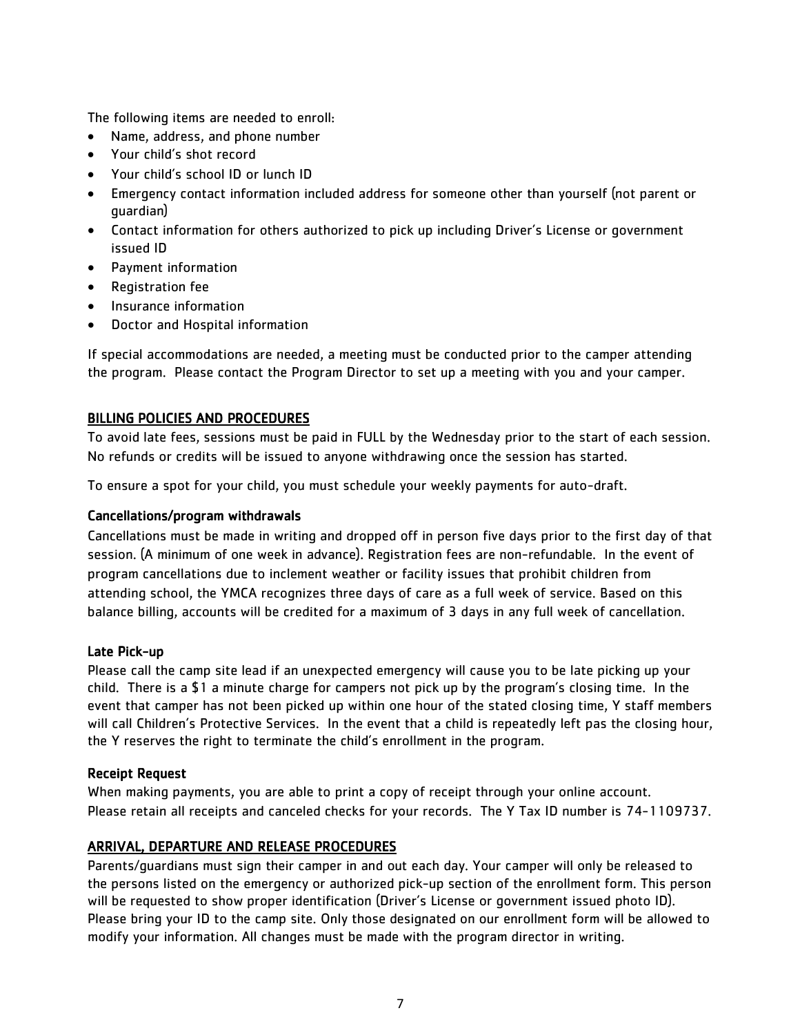The following items are needed to enroll:

- Name, address, and phone number
- Your child's shot record
- Your child's school ID or lunch ID
- Emergency contact information included address for someone other than yourself (not parent or guardian)
- Contact information for others authorized to pick up including Driver's License or government issued ID
- Payment information
- Registration fee
- Insurance information
- Doctor and Hospital information

If special accommodations are needed, a meeting must be conducted prior to the camper attending the program. Please contact the Program Director to set up a meeting with you and your camper.

#### BILLING POLICIES AND PROCEDURES

To avoid late fees, sessions must be paid in FULL by the Wednesday prior to the start of each session. No refunds or credits will be issued to anyone withdrawing once the session has started.

To ensure a spot for your child, you must schedule your weekly payments for auto-draft.

#### Cancellations/program withdrawals

Cancellations must be made in writing and dropped off in person five days prior to the first day of that session. (A minimum of one week in advance). Registration fees are non-refundable. In the event of program cancellations due to inclement weather or facility issues that prohibit children from attending school, the YMCA recognizes three days of care as a full week of service. Based on this balance billing, accounts will be credited for a maximum of 3 days in any full week of cancellation.

#### Late Pick-up

Please call the camp site lead if an unexpected emergency will cause you to be late picking up your child. There is a \$1 a minute charge for campers not pick up by the program's closing time. In the event that camper has not been picked up within one hour of the stated closing time, Y staff members will call Children's Protective Services. In the event that a child is repeatedly left pas the closing hour, the Y reserves the right to terminate the child's enrollment in the program.

#### Receipt Request

When making payments, you are able to print a copy of receipt through your online account. Please retain all receipts and canceled checks for your records. The Y Tax ID number is 74-1109737.

#### ARRIVAL, DEPARTURE AND RELEASE PROCEDURES

Parents/guardians must sign their camper in and out each day. Your camper will only be released to the persons listed on the emergency or authorized pick-up section of the enrollment form. This person will be requested to show proper identification (Driver's License or government issued photo ID). Please bring your ID to the camp site. Only those designated on our enrollment form will be allowed to modify your information. All changes must be made with the program director in writing.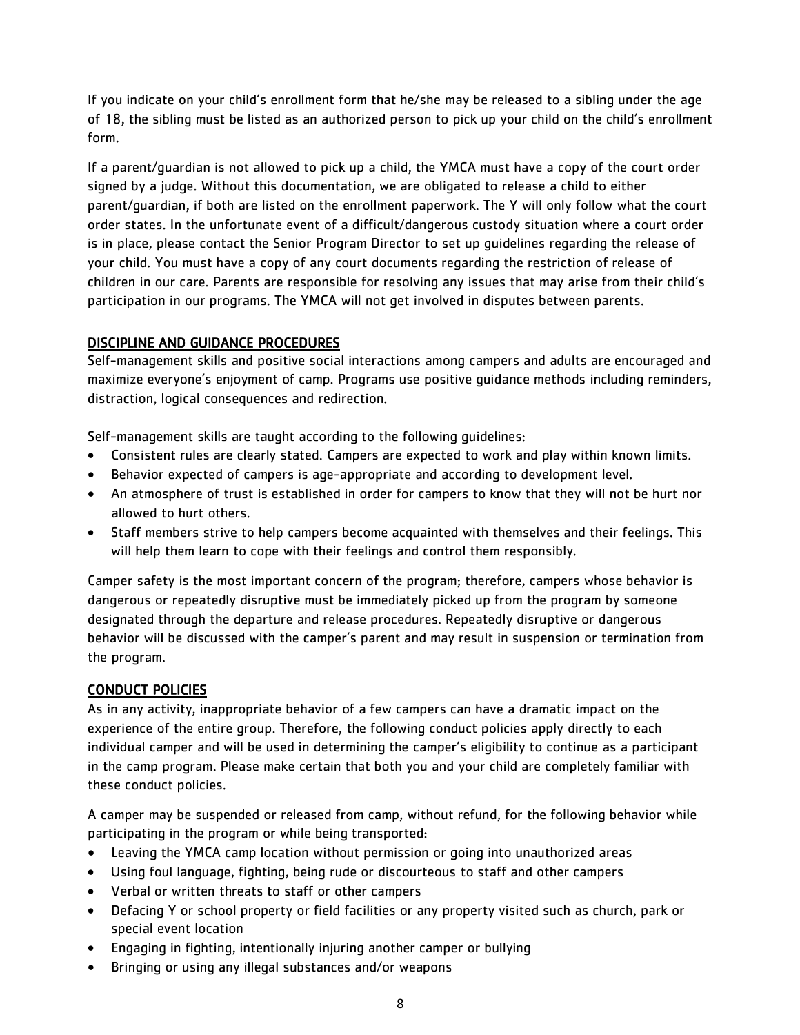If you indicate on your child's enrollment form that he/she may be released to a sibling under the age of 18, the sibling must be listed as an authorized person to pick up your child on the child's enrollment form.

If a parent/guardian is not allowed to pick up a child, the YMCA must have a copy of the court order signed by a judge. Without this documentation, we are obligated to release a child to either parent/guardian, if both are listed on the enrollment paperwork. The Y will only follow what the court order states. In the unfortunate event of a difficult/dangerous custody situation where a court order is in place, please contact the Senior Program Director to set up guidelines regarding the release of your child. You must have a copy of any court documents regarding the restriction of release of children in our care. Parents are responsible for resolving any issues that may arise from their child's participation in our programs. The YMCA will not get involved in disputes between parents.

## DISCIPLINE AND GUIDANCE PROCEDURES

Self-management skills and positive social interactions among campers and adults are encouraged and maximize everyone's enjoyment of camp. Programs use positive guidance methods including reminders, distraction, logical consequences and redirection.

Self-management skills are taught according to the following guidelines:

- Consistent rules are clearly stated. Campers are expected to work and play within known limits.
- Behavior expected of campers is age-appropriate and according to development level.
- An atmosphere of trust is established in order for campers to know that they will not be hurt nor allowed to hurt others.
- Staff members strive to help campers become acquainted with themselves and their feelings. This will help them learn to cope with their feelings and control them responsibly.

Camper safety is the most important concern of the program; therefore, campers whose behavior is dangerous or repeatedly disruptive must be immediately picked up from the program by someone designated through the departure and release procedures. Repeatedly disruptive or dangerous behavior will be discussed with the camper's parent and may result in suspension or termination from the program.

## CONDUCT POLICIES

As in any activity, inappropriate behavior of a few campers can have a dramatic impact on the experience of the entire group. Therefore, the following conduct policies apply directly to each individual camper and will be used in determining the camper's eligibility to continue as a participant in the camp program. Please make certain that both you and your child are completely familiar with these conduct policies.

A camper may be suspended or released from camp, without refund, for the following behavior while participating in the program or while being transported:

- Leaving the YMCA camp location without permission or going into unauthorized areas
- Using foul language, fighting, being rude or discourteous to staff and other campers
- Verbal or written threats to staff or other campers
- Defacing Y or school property or field facilities or any property visited such as church, park or special event location
- Engaging in fighting, intentionally injuring another camper or bullying
- Bringing or using any illegal substances and/or weapons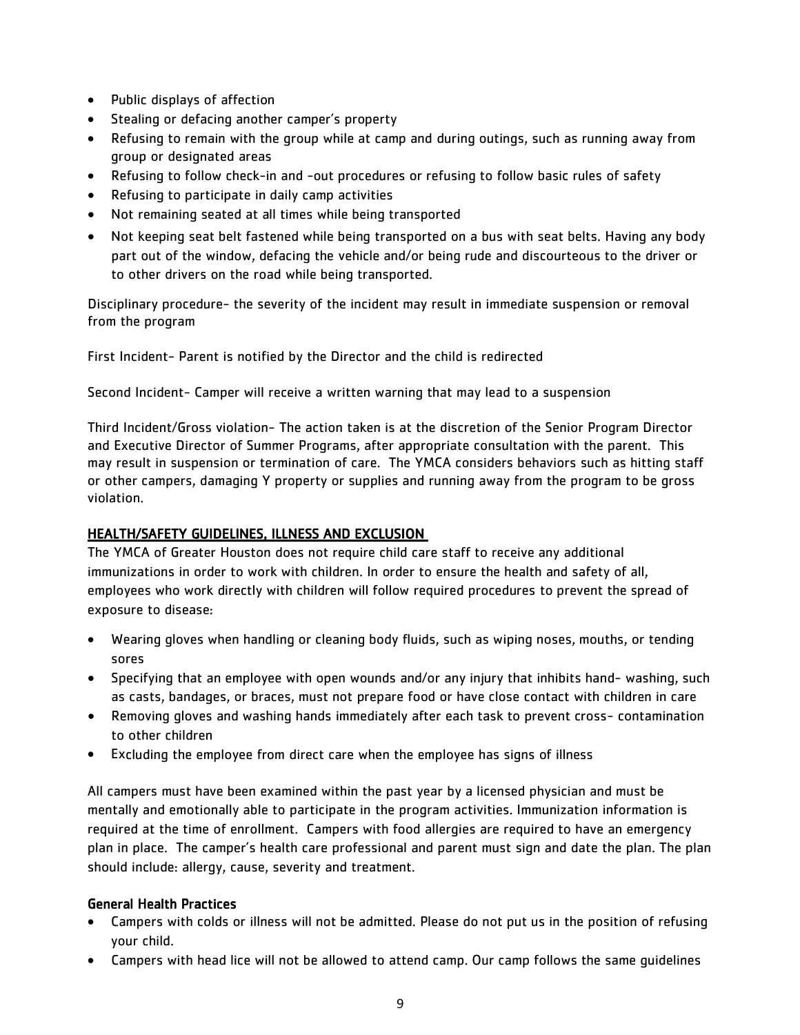- Public displays of affection
- Stealing or defacing another camper's property
- Refusing to remain with the group while at camp and during outings, such as running away from group or designated areas
- Refusing to follow check-in and -out procedures or refusing to follow basic rules of safety
- Refusing to participate in daily camp activities
- Not remaining seated at all times while being transported
- Not keeping seat belt fastened while being transported on a bus with seat belts. Having any body part out of the window, defacing the vehicle and/or being rude and discourteous to the driver or to other drivers on the road while being transported.

Disciplinary procedure- the severity of the incident may result in immediate suspension or removal from the program

First Incident- Parent is notified by the Director and the child is redirected

Second Incident- Camper will receive a written warning that may lead to a suspension

Third Incident/Gross violation- The action taken is at the discretion of the Senior Program Director and Executive Director of Summer Programs, after appropriate consultation with the parent. This may result in suspension or termination of care. The YMCA considers behaviors such as hitting staff or other campers, damaging Y property or supplies and running away from the program to be gross violation.

# HEALTH/SAFETY GUIDELINES, ILLNESS AND EXCLUSION

The YMCA of Greater Houston does not require child care staff to receive any additional immunizations in order to work with children. In order to ensure the health and safety of all, employees who work directly with children will follow required procedures to prevent the spread of exposure to disease:

- Wearing gloves when handling or cleaning body fluids, such as wiping noses, mouths, or tending sores
- Specifying that an employee with open wounds and/or any injury that inhibits hand- washing, such as casts, bandages, or braces, must not prepare food or have close contact with children in care
- Removing gloves and washing hands immediately after each task to prevent cross- contamination to other children
- Excluding the employee from direct care when the employee has signs of illness

All campers must have been examined within the past year by a licensed physician and must be mentally and emotionally able to participate in the program activities. Immunization information is required at the time of enrollment. Campers with food allergies are required to have an emergency plan in place. The camper's health care professional and parent must sign and date the plan. The plan should include: allergy, cause, severity and treatment.

## General Health Practices

- Campers with colds or illness will not be admitted. Please do not put us in the position of refusing your child.
- Campers with head lice will not be allowed to attend camp. Our camp follows the same guidelines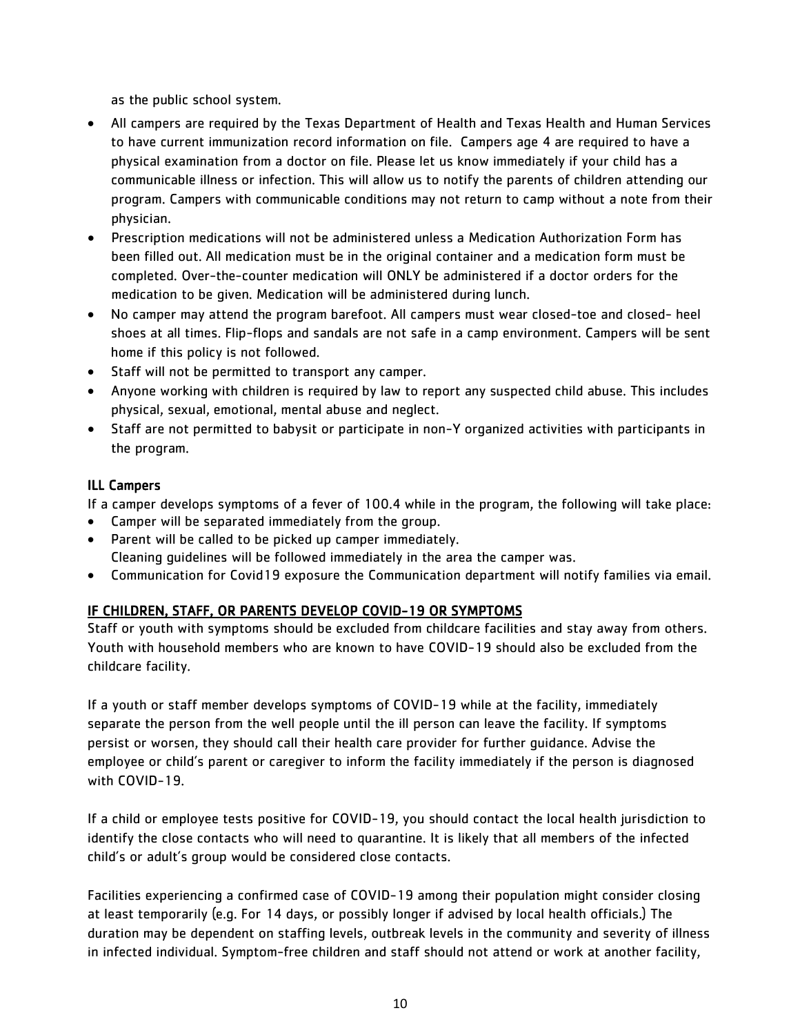as the public school system.

- All campers are required by the Texas Department of Health and Texas Health and Human Services to have current immunization record information on file. Campers age 4 are required to have a physical examination from a doctor on file. Please let us know immediately if your child has a communicable illness or infection. This will allow us to notify the parents of children attending our program. Campers with communicable conditions may not return to camp without a note from their physician.
- Prescription medications will not be administered unless a Medication Authorization Form has been filled out. All medication must be in the original container and a medication form must be completed. Over-the-counter medication will ONLY be administered if a doctor orders for the medication to be given. Medication will be administered during lunch.
- No camper may attend the program barefoot. All campers must wear closed-toe and closed- heel shoes at all times. Flip-flops and sandals are not safe in a camp environment. Campers will be sent home if this policy is not followed.
- Staff will not be permitted to transport any camper.
- Anyone working with children is required by law to report any suspected child abuse. This includes physical, sexual, emotional, mental abuse and neglect.
- Staff are not permitted to babysit or participate in non-Y organized activities with participants in the program.

## ILL Campers

If a camper develops symptoms of a fever of 100.4 while in the program, the following will take place:

- Camper will be separated immediately from the group.
- Parent will be called to be picked up camper immediately. Cleaning guidelines will be followed immediately in the area the camper was.
- Communication for Covid19 exposure the Communication department will notify families via email.

## IF CHILDREN, STAFF, OR PARENTS DEVELOP COVID-19 OR SYMPTOMS

Staff or youth with symptoms should be excluded from childcare facilities and stay away from others. Youth with household members who are known to have COVID-19 should also be excluded from the childcare facility.

If a youth or staff member develops symptoms of COVID-19 while at the facility, immediately separate the person from the well people until the ill person can leave the facility. If symptoms persist or worsen, they should call their health care provider for further guidance. Advise the employee or child's parent or caregiver to inform the facility immediately if the person is diagnosed with COVID-19.

If a child or employee tests positive for COVID-19, you should contact the local health jurisdiction to identify the close contacts who will need to quarantine. It is likely that all members of the infected child's or adult's group would be considered close contacts.

Facilities experiencing a confirmed case of COVID-19 among their population might consider closing at least temporarily (e.g. For 14 days, or possibly longer if advised by local health officials.) The duration may be dependent on staffing levels, outbreak levels in the community and severity of illness in infected individual. Symptom-free children and staff should not attend or work at another facility,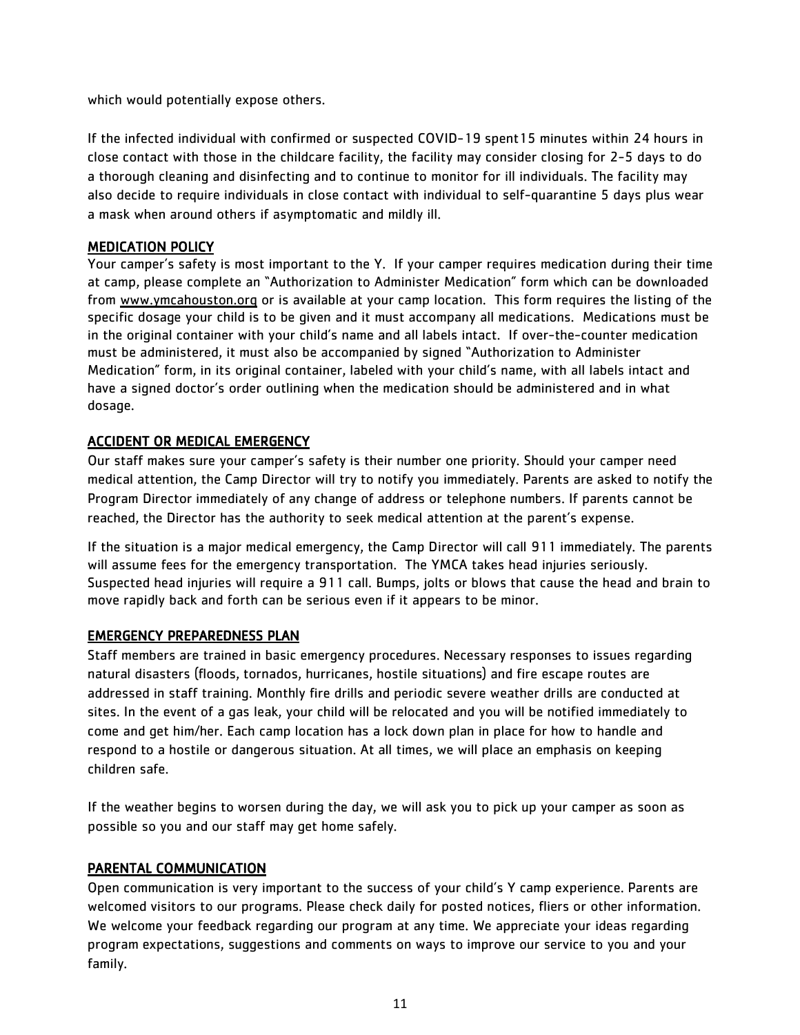which would potentially expose others.

If the infected individual with confirmed or suspected COVID-19 spent15 minutes within 24 hours in close contact with those in the childcare facility, the facility may consider closing for 2-5 days to do a thorough cleaning and disinfecting and to continue to monitor for ill individuals. The facility may also decide to require individuals in close contact with individual to self-quarantine 5 days plus wear a mask when around others if asymptomatic and mildly ill.

## MEDICATION POLICY

Your camper's safety is most important to the Y. If your camper requires medication during their time at camp, please complete an "Authorization to Administer Medication" form which can be downloaded from [www.ymcahouston.org](http://www.ymcahouston.org/) or is available at your camp location. This form requires the listing of the specific dosage your child is to be given and it must accompany all medications. Medications must be in the original container with your child's name and all labels intact. If over-the-counter medication must be administered, it must also be accompanied by signed "Authorization to Administer Medication" form, in its original container, labeled with your child's name, with all labels intact and have a signed doctor's order outlining when the medication should be administered and in what dosage.

## ACCIDENT OR MEDICAL EMERGENCY

Our staff makes sure your camper's safety is their number one priority. Should your camper need medical attention, the Camp Director will try to notify you immediately. Parents are asked to notify the Program Director immediately of any change of address or telephone numbers. If parents cannot be reached, the Director has the authority to seek medical attention at the parent's expense.

If the situation is a major medical emergency, the Camp Director will call 911 immediately. The parents will assume fees for the emergency transportation. The YMCA takes head injuries seriously. Suspected head injuries will require a 911 call. Bumps, jolts or blows that cause the head and brain to move rapidly back and forth can be serious even if it appears to be minor.

## EMERGENCY PREPAREDNESS PLAN

Staff members are trained in basic emergency procedures. Necessary responses to issues regarding natural disasters (floods, tornados, hurricanes, hostile situations) and fire escape routes are addressed in staff training. Monthly fire drills and periodic severe weather drills are conducted at sites. In the event of a gas leak, your child will be relocated and you will be notified immediately to come and get him/her. Each camp location has a lock down plan in place for how to handle and respond to a hostile or dangerous situation. At all times, we will place an emphasis on keeping children safe.

If the weather begins to worsen during the day, we will ask you to pick up your camper as soon as possible so you and our staff may get home safely.

## PARENTAL COMMUNICATION

Open communication is very important to the success of your child's Y camp experience. Parents are welcomed visitors to our programs. Please check daily for posted notices, fliers or other information. We welcome your feedback regarding our program at any time. We appreciate your ideas regarding program expectations, suggestions and comments on ways to improve our service to you and your family.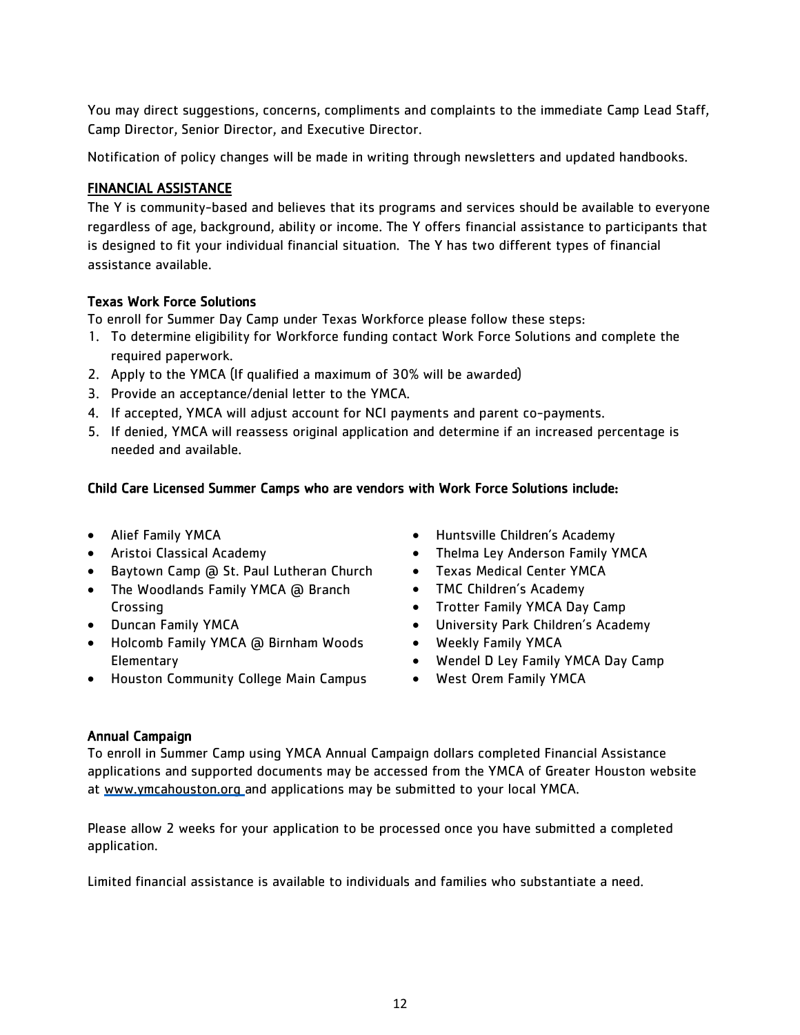You may direct suggestions, concerns, compliments and complaints to the immediate Camp Lead Staff, Camp Director, Senior Director, and Executive Director.

Notification of policy changes will be made in writing through newsletters and updated handbooks.

# FINANCIAL ASSISTANCE

The Y is community-based and believes that its programs and services should be available to everyone regardless of age, background, ability or income. The Y offers financial assistance to participants that is designed to fit your individual financial situation. The Y has two different types of financial assistance available.

## Texas Work Force Solutions

To enroll for Summer Day Camp under Texas Workforce please follow these steps:

- 1. To determine eligibility for Workforce funding contact Work Force Solutions and complete the required paperwork.
- 2. Apply to the YMCA (If qualified a maximum of 30% will be awarded)
- 3. Provide an acceptance/denial letter to the YMCA.
- 4. If accepted, YMCA will adjust account for NCI payments and parent co-payments.
- 5. If denied, YMCA will reassess original application and determine if an increased percentage is needed and available.

# Child Care Licensed Summer Camps who are vendors with Work Force Solutions include:

- Alief Family YMCA
- Aristoi Classical Academy
- Baytown Camp @ St. Paul Lutheran Church
- The Woodlands Family YMCA @ Branch Crossing
- Duncan Family YMCA
- Holcomb Family YMCA @ Birnham Woods Elementary
- Houston Community College Main Campus
- Huntsville Children's Academy
- Thelma Ley Anderson Family YMCA
- Texas Medical Center YMCA
- TMC Children's Academy
- Trotter Family YMCA Day Camp
- University Park Children's Academy
- Weekly Family YMCA
- Wendel D Ley Family YMCA Day Camp
- West Orem Family YMCA

## Annual Campaign

To enroll in Summer Camp using YMCA Annual Campaign dollars completed Financial Assistance applications and supported documents may be accessed from the YMCA of Greater Houston website at [www.ymcahouston.org](http://www.ymcahouston.org/) and applications may be submitted to your local YMCA.

Please allow 2 weeks for your application to be processed once you have submitted a completed application.

Limited financial assistance is available to individuals and families who substantiate a need.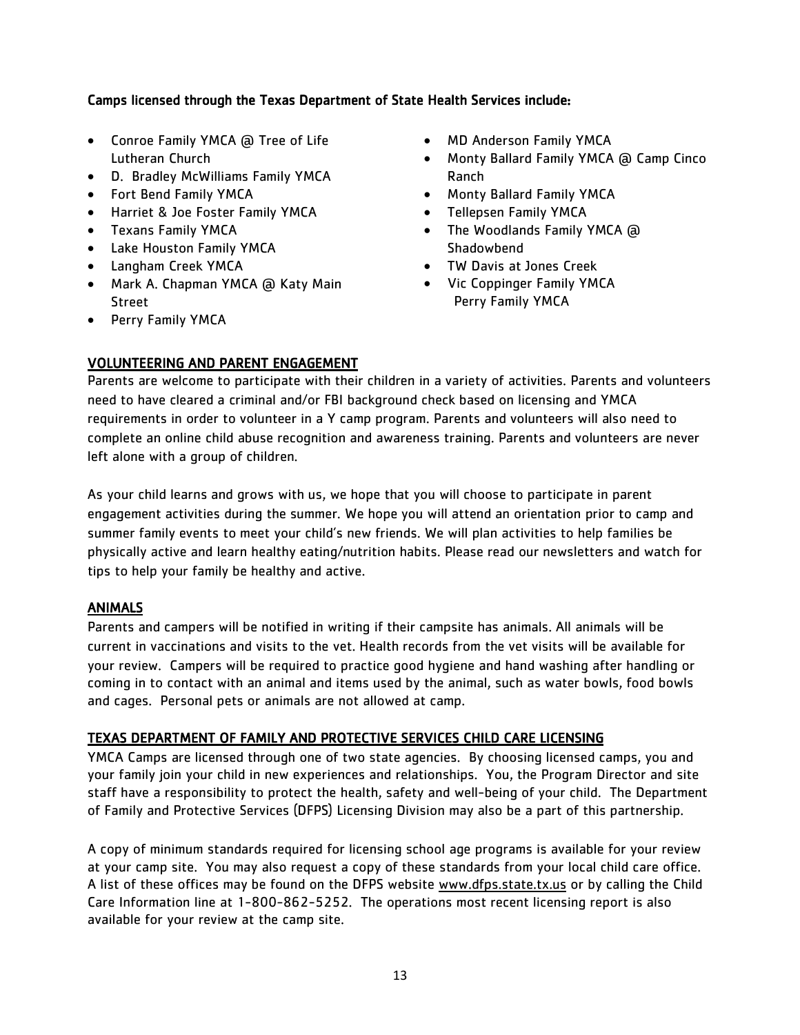## Camps licensed through the Texas Department of State Health Services include:

- Conroe Family YMCA @ Tree of Life Lutheran Church
- D. Bradley McWilliams Family YMCA
- Fort Bend Family YMCA
- Harriet & Joe Foster Family YMCA
- Texans Family YMCA
- Lake Houston Family YMCA
- Langham Creek YMCA
- Mark A. Chapman YMCA @ Katy Main Street
- Perry Family YMCA
- MD Anderson Family YMCA
- Monty Ballard Family YMCA @ Camp Cinco Ranch
- Monty Ballard Family YMCA
- Tellepsen Family YMCA
- The Woodlands Family YMCA @ Shadowbend
- TW Davis at Jones Creek
- Vic Coppinger Family YMCA Perry Family YMCA

#### VOLUNTEERING AND PARENT ENGAGEMENT

Parents are welcome to participate with their children in a variety of activities. Parents and volunteers need to have cleared a criminal and/or FBI background check based on licensing and YMCA requirements in order to volunteer in a Y camp program. Parents and volunteers will also need to complete an online child abuse recognition and awareness training. Parents and volunteers are never left alone with a group of children.

As your child learns and grows with us, we hope that you will choose to participate in parent engagement activities during the summer. We hope you will attend an orientation prior to camp and summer family events to meet your child's new friends. We will plan activities to help families be physically active and learn healthy eating/nutrition habits. Please read our newsletters and watch for tips to help your family be healthy and active.

## ANIMALS

Parents and campers will be notified in writing if their campsite has animals. All animals will be current in vaccinations and visits to the vet. Health records from the vet visits will be available for your review. Campers will be required to practice good hygiene and hand washing after handling or coming in to contact with an animal and items used by the animal, such as water bowls, food bowls and cages. Personal pets or animals are not allowed at camp.

## TEXAS DEPARTMENT OF FAMILY AND PROTECTIVE SERVICES CHILD CARE LICENSING

YMCA Camps are licensed through one of two state agencies. By choosing licensed camps, you and your family join your child in new experiences and relationships. You, the Program Director and site staff have a responsibility to protect the health, safety and well-being of your child. The Department of Family and Protective Services (DFPS) Licensing Division may also be a part of this partnership.

A copy of minimum standards required for licensing school age programs is available for your review at your camp site. You may also request a copy of these standards from your local child care office. A list of these offices may be found on the DFPS website [www.dfps.state.tx.us](http://www.dfps.state.tx.us/) or by calling the Child Care Information line at 1-800-862-5252. The operations most recent licensing report is also available for your review at the camp site.